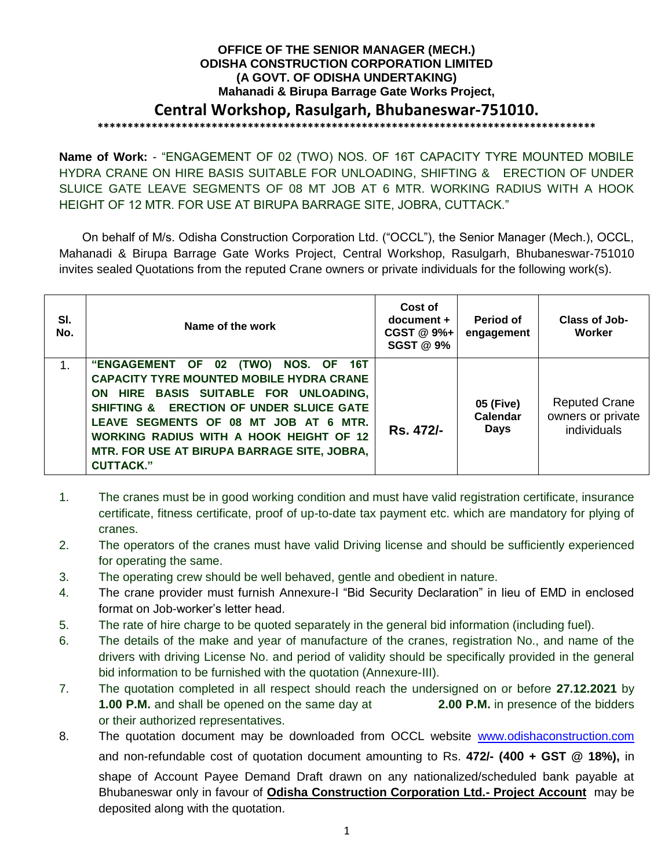# **OFFICE OF THE SENIOR MANAGER (MECH.) ODISHA CONSTRUCTION CORPORATION LIMITED (A GOVT. OF ODISHA UNDERTAKING) Mahanadi & Birupa Barrage Gate Works Project, Central Workshop, Rasulgarh, Bhubaneswar-751010. \*\*\*\*\*\*\*\*\*\*\*\*\*\*\*\*\*\*\*\*\*\*\*\*\*\*\*\*\*\*\*\*\*\*\*\*\*\*\*\*\*\*\*\*\*\*\*\*\*\*\*\*\*\*\*\*\*\*\*\*\*\*\*\*\*\*\*\*\*\*\*\*\*\*\*\*\*\*\*\*\*\*\***

**Name of Work:** - "ENGAGEMENT OF 02 (TWO) NOS. OF 16T CAPACITY TYRE MOUNTED MOBILE HYDRA CRANE ON HIRE BASIS SUITABLE FOR UNLOADING, SHIFTING & ERECTION OF UNDER SLUICE GATE LEAVE SEGMENTS OF 08 MT JOB AT 6 MTR. WORKING RADIUS WITH A HOOK HEIGHT OF 12 MTR. FOR USE AT BIRUPA BARRAGE SITE, JOBRA, CUTTACK."

On behalf of M/s. Odisha Construction Corporation Ltd. ("OCCL"), the Senior Manager (Mech.), OCCL, Mahanadi & Birupa Barrage Gate Works Project, Central Workshop, Rasulgarh, Bhubaneswar-751010 invites sealed Quotations from the reputed Crane owners or private individuals for the following work(s).

| SI.<br>No. | Name of the work                                                                                                                                                                                                                                                                                                                          | Cost of<br>$document +$<br>CGST @ 9%+<br><b>SGST @ 9%</b> | Period of<br>engagement              | Class of Job-<br>Worker                                  |
|------------|-------------------------------------------------------------------------------------------------------------------------------------------------------------------------------------------------------------------------------------------------------------------------------------------------------------------------------------------|-----------------------------------------------------------|--------------------------------------|----------------------------------------------------------|
|            | "ENGAGEMENT OF 02 (TWO) NOS. OF 16T<br><b>CAPACITY TYRE MOUNTED MOBILE HYDRA CRANE</b><br>ON HIRE BASIS SUITABLE FOR UNLOADING,<br>SHIFTING & ERECTION OF UNDER SLUICE GATE<br>LEAVE SEGMENTS OF 08 MT JOB AT 6 MTR.<br><b>WORKING RADIUS WITH A HOOK HEIGHT OF 12</b><br>MTR. FOR USE AT BIRUPA BARRAGE SITE, JOBRA,<br><b>CUTTACK."</b> | Rs. 472/-                                                 | 05 (Five)<br>Calendar<br><b>Days</b> | <b>Reputed Crane</b><br>owners or private<br>individuals |

- 1. The cranes must be in good working condition and must have valid registration certificate, insurance certificate, fitness certificate, proof of up-to-date tax payment etc. which are mandatory for plying of cranes.
- 2. The operators of the cranes must have valid Driving license and should be sufficiently experienced for operating the same.
- 3. The operating crew should be well behaved, gentle and obedient in nature.
- 4. The crane provider must furnish Annexure-I "Bid Security Declaration" in lieu of EMD in enclosed format on Job-worker's letter head.
- 5. The rate of hire charge to be quoted separately in the general bid information (including fuel).
- 6. The details of the make and year of manufacture of the cranes, registration No., and name of the drivers with driving License No. and period of validity should be specifically provided in the general bid information to be furnished with the quotation (Annexure-III).
- 7. The quotation completed in all respect should reach the undersigned on or before **27.12.2021** by **1.00 P.M.** and shall be opened on the same day at **2.00 P.M.** in presence of the bidders or their authorized representatives.
- 8. The quotation document may be downloaded from OCCL website [www.odishaconstruction.com](http://www.odishaconstruction.com/) and non-refundable cost of quotation document amounting to Rs. **472/- (400 + GST @ 18%),** in shape of Account Payee Demand Draft drawn on any nationalized/scheduled bank payable at Bhubaneswar only in favour of **Odisha Construction Corporation Ltd.- Project Account** may be deposited along with the quotation.